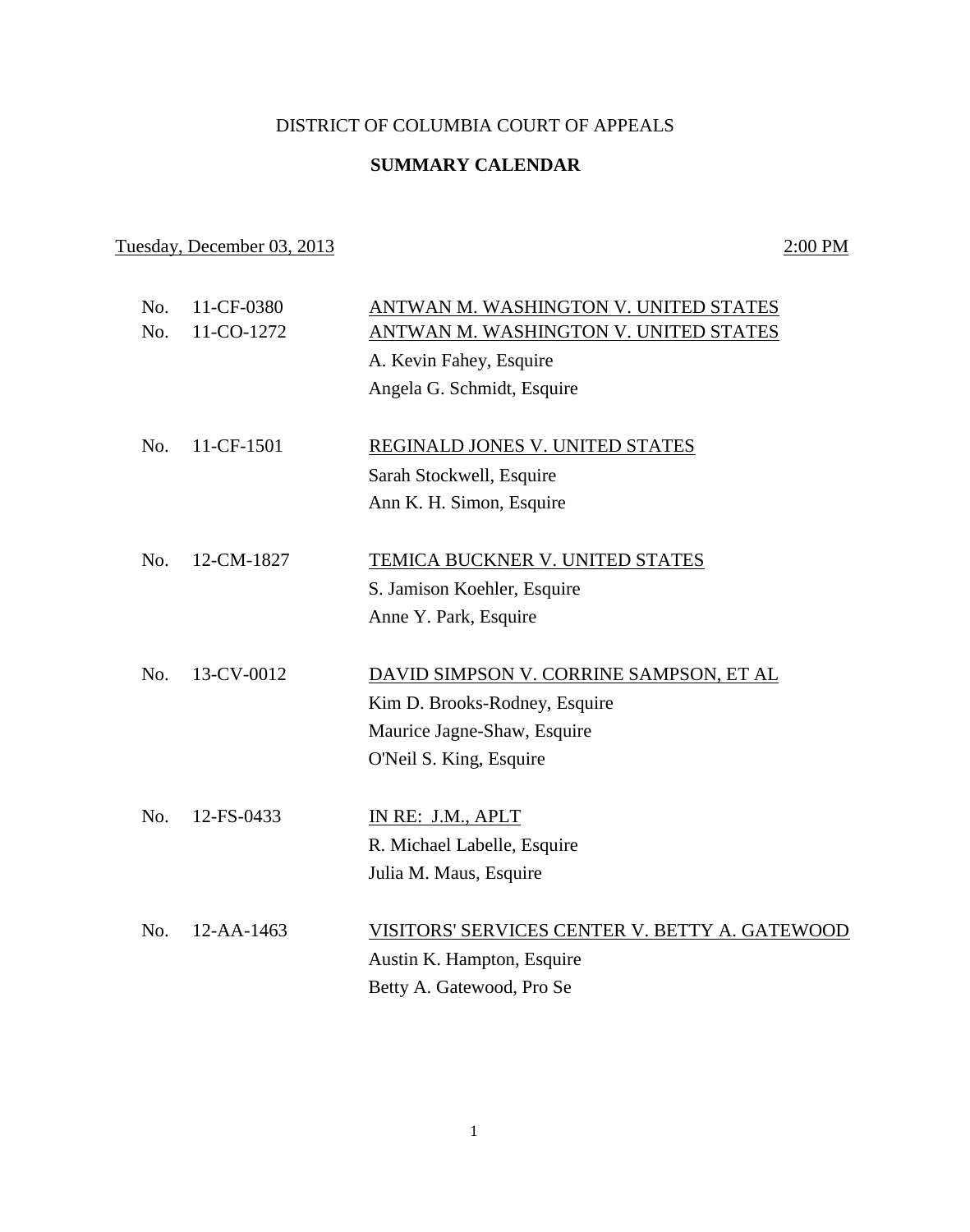### DISTRICT OF COLUMBIA COURT OF APPEALS

## **SUMMARY CALENDAR**

## Tuesday, December 03, 2013 2:00 PM

| No.<br>No. | 11-CF-0380<br>11-CO-1272 | ANTWAN M. WASHINGTON V. UNITED STATES<br>ANTWAN M. WASHINGTON V. UNITED STATES |
|------------|--------------------------|--------------------------------------------------------------------------------|
|            |                          | A. Kevin Fahey, Esquire                                                        |
|            |                          | Angela G. Schmidt, Esquire                                                     |
|            |                          |                                                                                |
| No.        | 11-CF-1501               | REGINALD JONES V. UNITED STATES                                                |
|            |                          | Sarah Stockwell, Esquire                                                       |
|            |                          | Ann K. H. Simon, Esquire                                                       |
|            |                          |                                                                                |
| No.        | 12-CM-1827               | TEMICA BUCKNER V. UNITED STATES                                                |
|            |                          | S. Jamison Koehler, Esquire                                                    |
|            |                          | Anne Y. Park, Esquire                                                          |
|            |                          |                                                                                |
| No.        | 13-CV-0012               | DAVID SIMPSON V. CORRINE SAMPSON, ET AL                                        |
|            |                          | Kim D. Brooks-Rodney, Esquire                                                  |
|            |                          | Maurice Jagne-Shaw, Esquire                                                    |
|            |                          | O'Neil S. King, Esquire                                                        |
|            |                          |                                                                                |
| No.        | 12-FS-0433               | IN RE: J.M., APLT                                                              |
|            |                          | R. Michael Labelle, Esquire                                                    |
|            |                          | Julia M. Maus, Esquire                                                         |
|            |                          |                                                                                |
| No.        | 12-AA-1463               | VISITORS' SERVICES CENTER V. BETTY A. GATEWOOD                                 |
|            |                          | Austin K. Hampton, Esquire                                                     |
|            |                          | Betty A. Gatewood, Pro Se                                                      |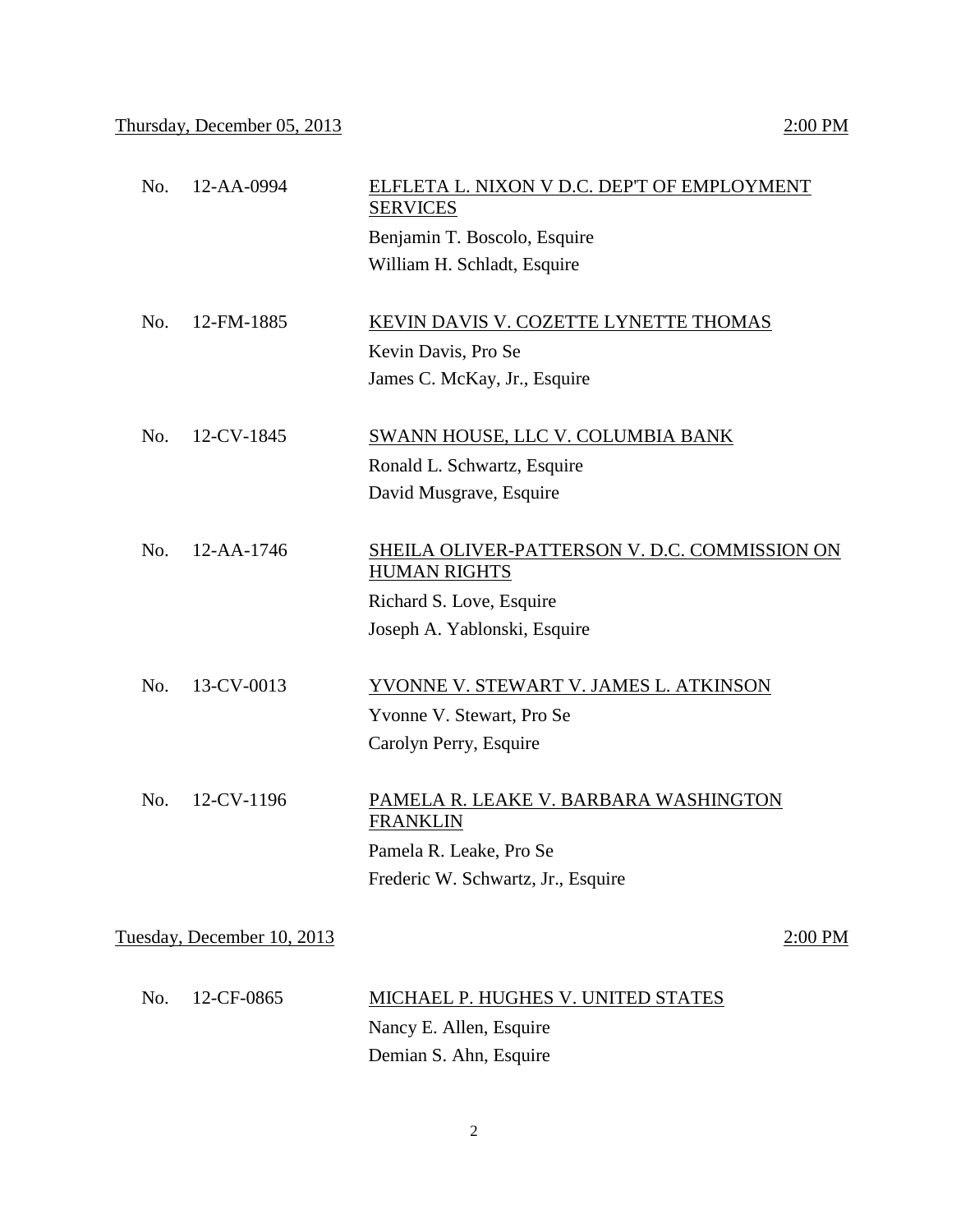| No. | 12-AA-0994                 | ELFLETA L. NIXON V D.C. DEP'T OF EMPLOYMENT<br><b>SERVICES</b>       |         |
|-----|----------------------------|----------------------------------------------------------------------|---------|
|     |                            | Benjamin T. Boscolo, Esquire                                         |         |
|     |                            | William H. Schladt, Esquire                                          |         |
| No. | 12-FM-1885                 | KEVIN DAVIS V. COZETTE LYNETTE THOMAS                                |         |
|     |                            | Kevin Davis, Pro Se                                                  |         |
|     |                            | James C. McKay, Jr., Esquire                                         |         |
| No. | 12-CV-1845                 | <b>SWANN HOUSE, LLC V. COLUMBIA BANK</b>                             |         |
|     |                            | Ronald L. Schwartz, Esquire                                          |         |
|     |                            | David Musgrave, Esquire                                              |         |
| No. | 12-AA-1746                 | SHEILA OLIVER-PATTERSON V. D.C. COMMISSION ON<br><b>HUMAN RIGHTS</b> |         |
|     |                            | Richard S. Love, Esquire                                             |         |
|     |                            | Joseph A. Yablonski, Esquire                                         |         |
| No. | 13-CV-0013                 | YVONNE V. STEWART V. JAMES L. ATKINSON                               |         |
|     |                            | Yvonne V. Stewart, Pro Se                                            |         |
|     |                            | Carolyn Perry, Esquire                                               |         |
| No. | 12-CV-1196                 | PAMELA R. LEAKE V. BARBARA WASHINGTON<br><b>FRANKLIN</b>             |         |
|     |                            | Pamela R. Leake, Pro Se                                              |         |
|     |                            | Frederic W. Schwartz, Jr., Esquire                                   |         |
|     | Tuesday, December 10, 2013 |                                                                      | 2:00 PM |
| No. | 12-CF-0865                 | <b>MICHAEL P. HUGHES V. UNITED STATES</b>                            |         |
|     |                            | Nancy E. Allen, Esquire                                              |         |
|     |                            | Demian S. Ahn, Esquire                                               |         |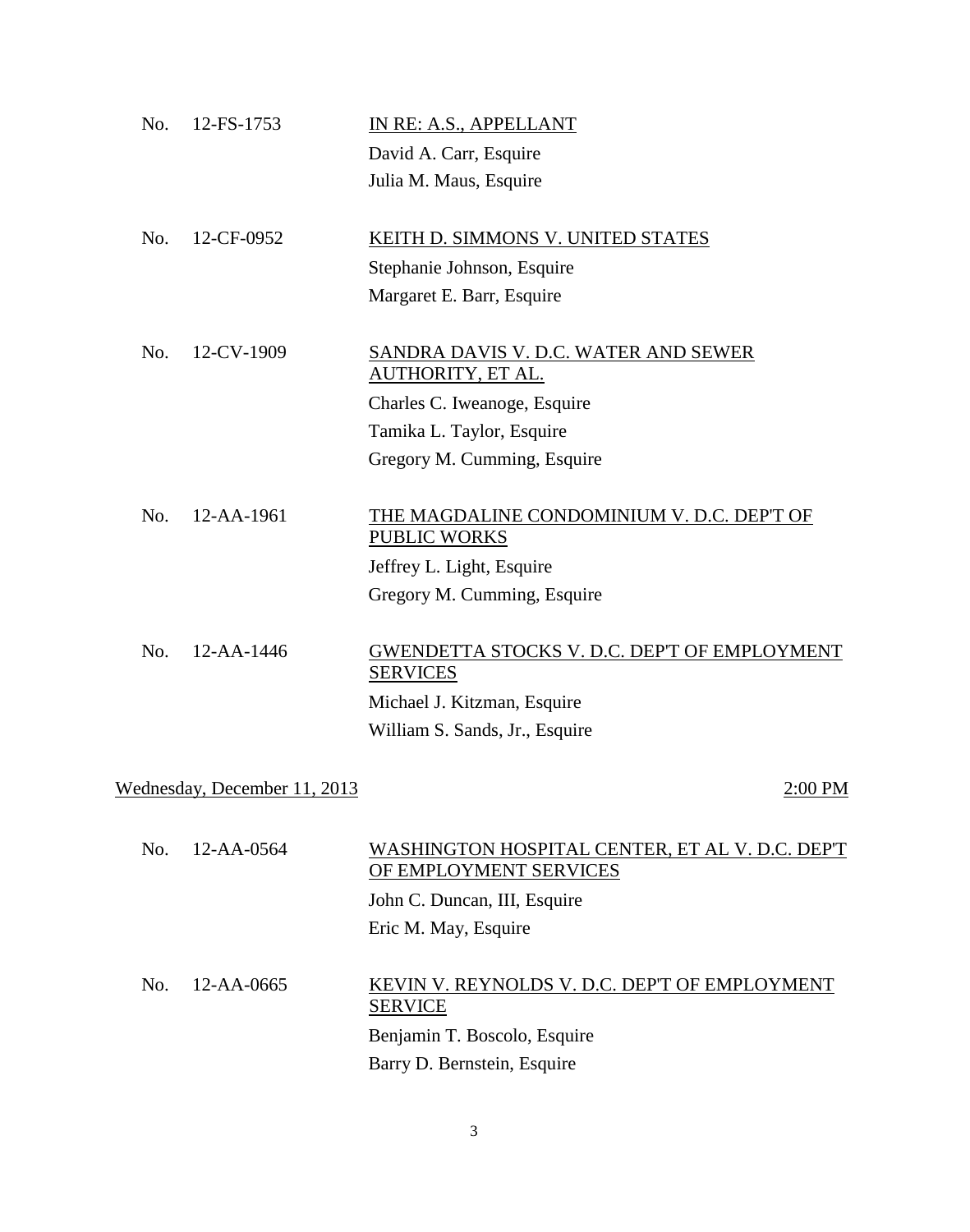| No. | 12-FS-1753                   | IN RE: A.S., APPELLANT                                                    |
|-----|------------------------------|---------------------------------------------------------------------------|
|     |                              | David A. Carr, Esquire                                                    |
|     |                              | Julia M. Maus, Esquire                                                    |
| No. | 12-CF-0952                   | KEITH D. SIMMONS V. UNITED STATES                                         |
|     |                              | Stephanie Johnson, Esquire                                                |
|     |                              | Margaret E. Barr, Esquire                                                 |
| No. | 12-CV-1909                   | <b>SANDRA DAVIS V. D.C. WATER AND SEWER</b><br>AUTHORITY, ET AL.          |
|     |                              | Charles C. Iweanoge, Esquire                                              |
|     |                              | Tamika L. Taylor, Esquire                                                 |
|     |                              | Gregory M. Cumming, Esquire                                               |
| No. | 12-AA-1961                   | THE MAGDALINE CONDOMINIUM V. D.C. DEP'T OF<br>PUBLIC WORKS                |
|     |                              | Jeffrey L. Light, Esquire                                                 |
|     |                              | Gregory M. Cumming, Esquire                                               |
| No. | 12-AA-1446                   | GWENDETTA STOCKS V. D.C. DEP'T OF EMPLOYMENT<br><b>SERVICES</b>           |
|     |                              | Michael J. Kitzman, Esquire                                               |
|     |                              | William S. Sands, Jr., Esquire                                            |
|     | Wednesday, December 11, 2013 | 2:00 PM                                                                   |
|     |                              |                                                                           |
| No. | $12 - AA - 0564$             | WASHINGTON HOSPITAL CENTER, ET AL V. D.C. DEP'T<br>OF EMPLOYMENT SERVICES |
|     |                              | John C. Duncan, III, Esquire                                              |
|     |                              | Eric M. May, Esquire                                                      |
| No. | 12-AA-0665                   | KEVIN V. REYNOLDS V. D.C. DEP'T OF EMPLOYMENT<br><b>SERVICE</b>           |
|     |                              | Benjamin T. Boscolo, Esquire                                              |
|     |                              | Barry D. Bernstein, Esquire                                               |

3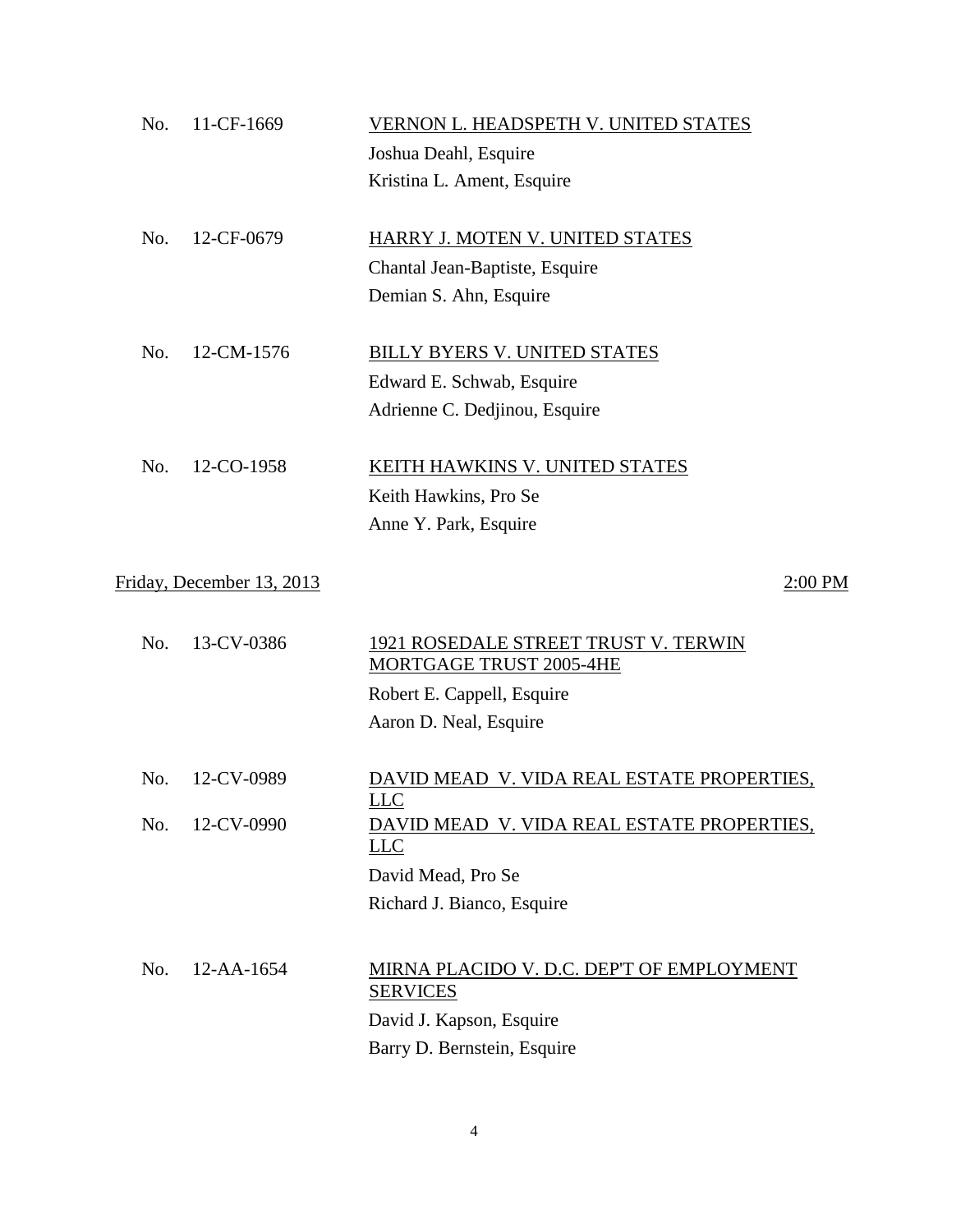| No. | 11-CF-1669                | VERNON L. HEADSPETH V. UNITED STATES                            |
|-----|---------------------------|-----------------------------------------------------------------|
|     |                           | Joshua Deahl, Esquire                                           |
|     |                           | Kristina L. Ament, Esquire                                      |
| No. | 12-CF-0679                | HARRY J. MOTEN V. UNITED STATES                                 |
|     |                           | Chantal Jean-Baptiste, Esquire                                  |
|     |                           | Demian S. Ahn, Esquire                                          |
| No. | 12-CM-1576                | <b>BILLY BYERS V. UNITED STATES</b>                             |
|     |                           | Edward E. Schwab, Esquire                                       |
|     |                           | Adrienne C. Dedjinou, Esquire                                   |
| No. | 12-CO-1958                | KEITH HAWKINS V. UNITED STATES                                  |
|     |                           | Keith Hawkins, Pro Se                                           |
|     |                           | Anne Y. Park, Esquire                                           |
|     | Friday, December 13, 2013 | 2:00 PM                                                         |
| No. | 13-CV-0386                | 1921 ROSEDALE STREET TRUST V. TERWIN<br>MORTGAGE TRUST 2005-4HE |
|     |                           | Robert E. Cappell, Esquire                                      |
|     |                           | Aaron D. Neal, Esquire                                          |
| No. | 12-CV-0989                | DAVID MEAD V. VIDA REAL ESTATE PROPERTIES,<br>LLC               |
| No. | 12-CV-0990                | DAVID MEAD V. VIDA REAL ESTATE PROPERTIES,<br>L <sub>LC</sub>   |
|     |                           | David Mead, Pro Se                                              |
|     |                           | Richard J. Bianco, Esquire                                      |
| No. | 12-AA-1654                | MIRNA PLACIDO V. D.C. DEP'T OF EMPLOYMENT<br><b>SERVICES</b>    |
|     |                           | David J. Kapson, Esquire                                        |
|     |                           | Barry D. Bernstein, Esquire                                     |
|     |                           |                                                                 |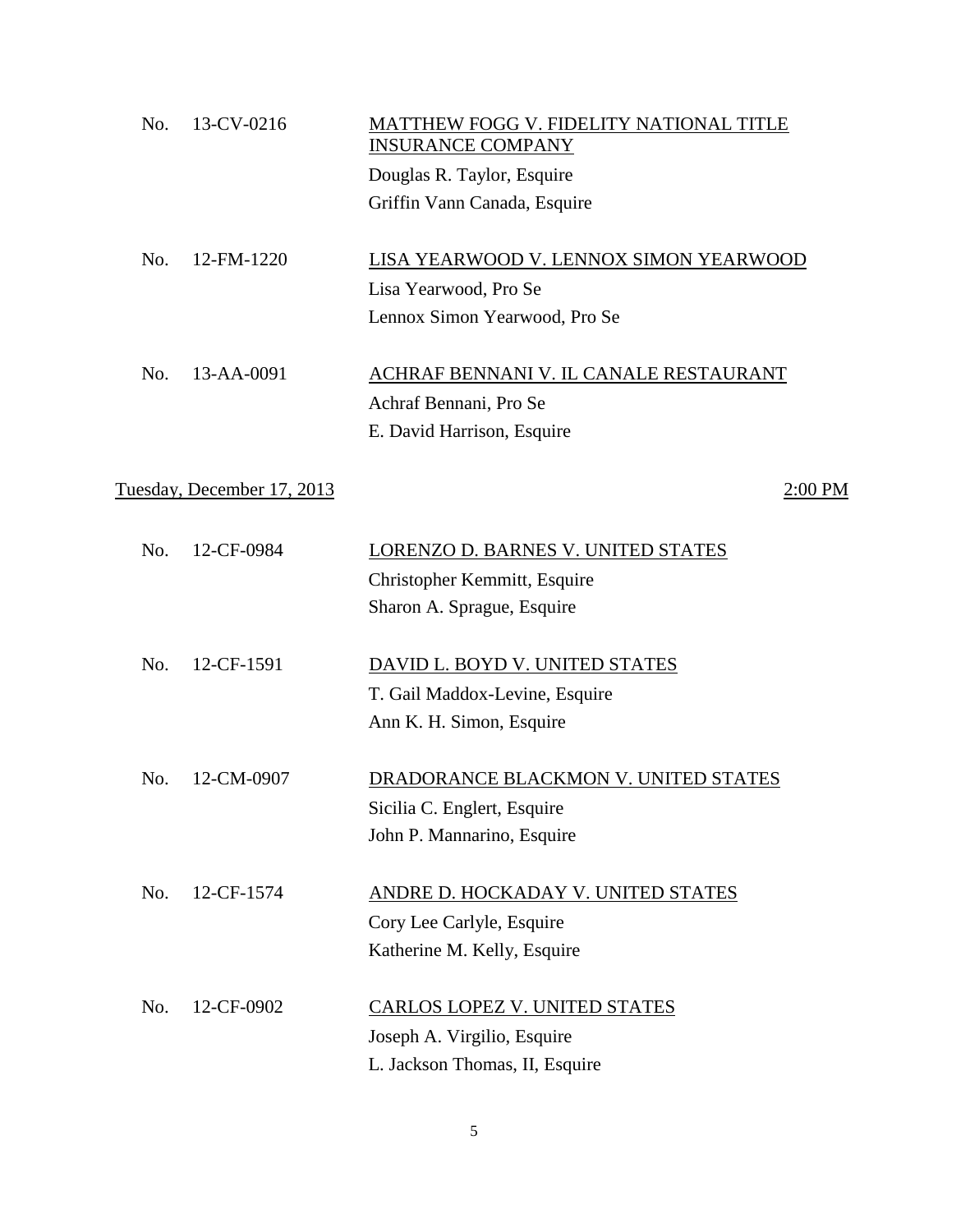| No. | 13-CV-0216                 | MATTHEW FOGG V. FIDELITY NATIONAL TITLE<br><b>INSURANCE COMPANY</b> |
|-----|----------------------------|---------------------------------------------------------------------|
|     |                            | Douglas R. Taylor, Esquire                                          |
|     |                            | Griffin Vann Canada, Esquire                                        |
| No. | 12-FM-1220                 | LISA YEARWOOD V. LENNOX SIMON YEARWOOD                              |
|     |                            | Lisa Yearwood, Pro Se                                               |
|     |                            | Lennox Simon Yearwood, Pro Se                                       |
| No. | 13-AA-0091                 | ACHRAF BENNANI V. IL CANALE RESTAURANT                              |
|     |                            | Achraf Bennani, Pro Se                                              |
|     |                            | E. David Harrison, Esquire                                          |
|     | Tuesday, December 17, 2013 | 2:00 PM                                                             |
|     |                            |                                                                     |
| No. | 12-CF-0984                 | LORENZO D. BARNES V. UNITED STATES                                  |
|     |                            | Christopher Kemmitt, Esquire                                        |
|     |                            | Sharon A. Sprague, Esquire                                          |
| No. | 12-CF-1591                 | DAVID L. BOYD V. UNITED STATES                                      |
|     |                            | T. Gail Maddox-Levine, Esquire                                      |
|     |                            | Ann K. H. Simon, Esquire                                            |
| No. | 12-CM-0907                 | DRADORANCE BLACKMON V. UNITED STATES                                |
|     |                            | Sicilia C. Englert, Esquire                                         |
|     |                            | John P. Mannarino, Esquire                                          |
| No. | 12-CF-1574                 | ANDRE D. HOCKADAY V. UNITED STATES                                  |
|     |                            | Cory Lee Carlyle, Esquire                                           |
|     |                            | Katherine M. Kelly, Esquire                                         |
| No. | 12-CF-0902                 | CARLOS LOPEZ V. UNITED STATES                                       |
|     |                            | Joseph A. Virgilio, Esquire                                         |
|     |                            | L. Jackson Thomas, II, Esquire                                      |
|     |                            |                                                                     |